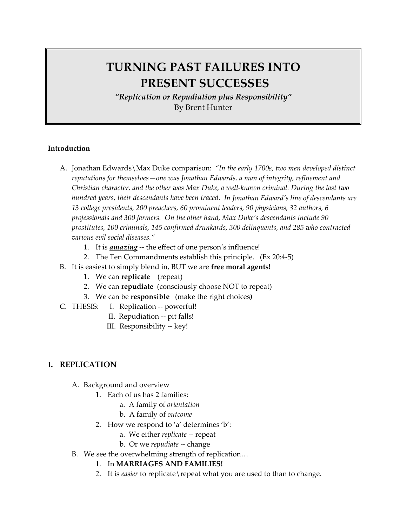## **TURNING PAST FAILURES INTO PRESENT SUCCESSES**

*"Replication or Repudiation plus Responsibility"* By Brent Hunter

#### **Introduction**

- A. Jonathan Edwards\Max Duke comparison: *"In the early 1700s, two men developed distinct reputations for themselves—one was Jonathan Edwards, a man of integrity, refinement and Christian character, and the other was Max Duke, a well‐known criminal. During the last two hundred years, their descendants have been traced. In Jonathan Edward's line of descendants are 13 college presidents, 200 preachers, 60 prominent leaders, 90 physicians, 32 authors, 6 professionals and 300 farmers. On the other hand, Max Duke's descendants include 90 prostitutes, 100 criminals, 145 confirmed drunkards, 300 delinquents, and 285 who contracted various evil social diseases."*
	- 1. It is *amazing* -- the effect of one person's influence!
	- 2. The Ten Commandments establish this principle. (Ex 20:4‐5)
- B. It is easiest to simply blend in, BUT we are **free moral agents!**
	- 1. We can **replicate** (repeat)
	- 2. We can **repudiate** (consciously choose NOT to repeat)
	- 3. We can be **responsible** (make the right choices**)**
- C. THESIS: I. Replication ‐‐ powerful!
	- II. Repudiation ‐‐ pit falls!
		- III. Responsibility ‐‐ key!

#### **I. REPLICATION**

- A. Background and overview
	- 1. Each of us has 2 families:
		- a. A family of *orientation*
		- b. A family of *outcome*
	- 2. How we respond to 'a' determines 'b':
		- a. We either *replicate* ‐‐ repeat
		- b. Or we *repudiate* ‐‐ change
- B. We see the overwhelming strength of replication…
	- 1. In **MARRIAGES AND FAMILIES!**
	- *2*. It is *easier* to replicate\repeat what you are used to than to change.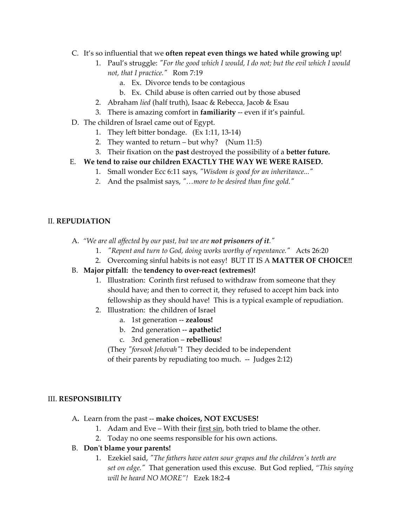- C. It's so influential that we **often repeat even things we hated while growing up**!
	- 1. Paul's struggle: *ʺFor the good which I would, I do not; but the evil which I would not, that I practice.*<sup>*n*</sup> Rom 7:19
		- a. Ex. Divorce tends to be contagious
		- b. Ex. Child abuse is often carried out by those abused
	- 2. Abraham *lied* (half truth), Isaac & Rebecca, Jacob & Esau
	- 3. There is amazing comfort in **familiarity** ‐‐ even if it's painful.
- D. The children of Israel came out of Egypt.
	- 1. They left bitter bondage.  $(Ex 1:11, 13-14)$
	- 2. They wanted to return but why? (Num  $11:5$ )
	- 3. Their fixation on the **past** destroyed the possibility of a **better future.**

#### E. **We tend to raise our children EXACTLY THE WAY WE WERE RAISED.**

- 1. Small wonder Ecc 6:11 says, "Wisdom is good for an *inheritance..."*
- *2.*  And the psalmist says, *ʺ…more to be desired than fine gold.ʺ*

#### II. **REPUDIATION**

- A. *"We are all affected by our past, but we are not prisoners of it.ʺ*
	- 1. *ʺRepent and turn to God, doing works worthy of repentance.ʺ* Acts 26:20
	- 2. Overcoming sinful habits is not easy! BUT IT IS A **MATTER OF CHOICE!!**
- B. **Major pitfall:** the **tendency to over‐react (extremes)!**
	- 1. Illustration: Corinth first refused to withdraw from someone that they should have; and then to correct it, they refused to accept him back into fellowship as they should have! This is a typical example of repudiation.
	- 2. Illustration: the children of Israel
		- a. 1st generation ‐‐ **zealous!**
		- b. 2nd generation ‐‐ **apathetic!**
		- c. 3rd generation **rebellious**!
		- (They *ʺforsook Jehovahʺ*! They decided to be independent
		- of their parents by repudiating too much. ‐‐ Judges 2:12)

#### III. **RESPONSIBILITY**

- A**.** Learn from the past ‐‐ **make choices, NOT EXCUSES!**
	- 1. Adam and Eve With their first sin, both tried to blame the other.
	- 2. Today no one seems responsible for his own actions.
- B. **Donʹt blame your parents!**
	- 1. Ezekiel said, *ʺThe fathers have eaten sour grapes and the childrenʹs teeth are set on edge.ʺ* That generation used this excuse. But God replied, *"This saying will be heard NO MORE"!* Ezek 18:2‐4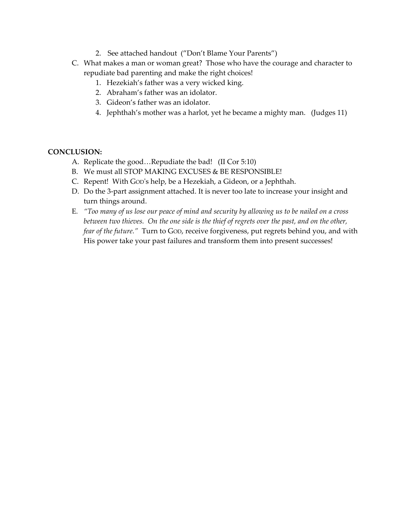- 2. See attached handout ("Don't Blame Your Parents")
- C. What makes a man or woman great? Those who have the courage and character to repudiate bad parenting and make the right choices!
	- 1. Hezekiah's father was a very wicked king.
	- 2. Abraham's father was an idolator.
	- 3. Gideon's father was an idolator.
	- 4. Jephthah's mother was a harlot, yet he became a mighty man. (Judges 11)

#### **CONCLUSION:**

- A. Replicate the good…Repudiate the bad! (II Cor 5:10)
- B. We must all STOP MAKING EXCUSES & BE RESPONSIBLE!
- C. Repent! With GODʹs help, be a Hezekiah, a Gideon, or a Jephthah.
- D. Do the 3-part assignment attached. It is never too late to increase your insight and turn things around.
- E. "Too many of us lose our peace of mind and security by allowing us to be nailed on a cross between two thieves. On the one side is the thief of regrets over the past, and on the other, *fear of the future."* Turn to GOD, receive forgiveness, put regrets behind you, and with His power take your past failures and transform them into present successes!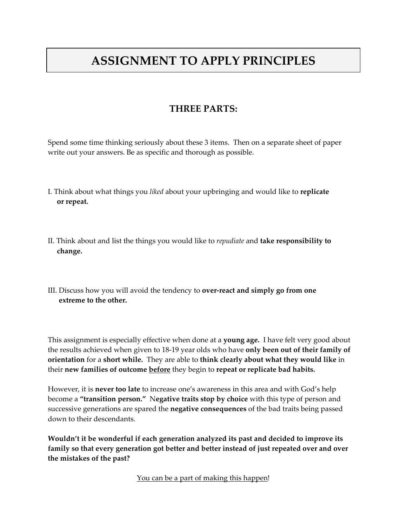# **ASSIGNMENT TO APPLY PRINCIPLES**

### **THREE PARTS:**

Spend some time thinking seriously about these 3 items. Then on a separate sheet of paper write out your answers. Be as specific and thorough as possible.

- I. Think about what things you *liked* about your upbringing and would like to **replicate or repeat.**
- II. Think about and list the things you would like to *repudiate* and **take responsibility to change.**
- III. Discuss how you will avoid the tendency to **over-react and simply go from one extreme to the other.**

This assignment is especially effective when done at a **young age.** I have felt very good about the results achieved when given to 18‐19 year olds who have **only been out of their family of orientation** for a **short while.** They are able to **think clearly about what they would like** in their **new families of outcome before** they begin to **repeat or replicate bad habits.**

However, it is **never too late** to increase one's awareness in this area and with God's help become a **"transition person."** N**egative traits stop by choice** with this type of person and successive generations are spared the **negative consequences** of the bad traits being passed down to their descendants.

**Wouldn't it be wonderful if each generation analyzed its past and decided to improve its family so that every generation got better and better instead of just repeated over and over the mistakes of the past?**

You can be a part of making this happen!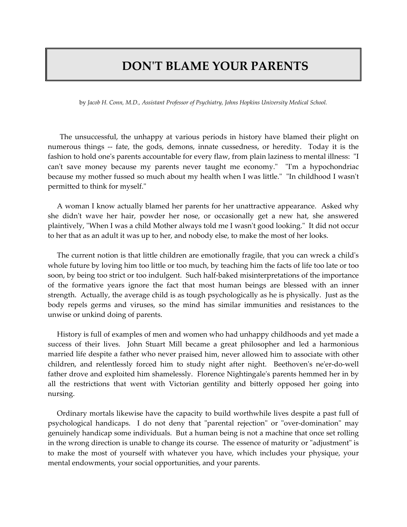### **DONʹT BLAME YOUR PARENTS**

by *Jacob H. Conn, M.D., Assistant Professor of Psychiatry, Johns Hopkins University Medical School.*

 The unsuccessful, the unhappy at various periods in history have blamed their plight on numerous things -- fate, the gods, demons, innate cussedness, or heredity. Today it is the fashion to hold one's parents accountable for every flaw, from plain laziness to mental illness: "I can't save money because my parents never taught me economy." "I'm a hypochondriac because my mother fussed so much about my health when I was little." "In childhood I wasn't permitted to think for myself."

 A woman I know actually blamed her parents for her unattractive appearance. Asked why she didn't wave her hair, powder her nose, or occasionally get a new hat, she answered plaintively, "When I was a child Mother always told me I wasn't good looking." It did not occur to her that as an adult it was up to her, and nobody else, to make the most of her looks.

 The current notion is that little children are emotionally fragile, that you can wreck a childʹs whole future by loving him too little or too much, by teaching him the facts of life too late or too soon, by being too strict or too indulgent. Such half-baked misinterpretations of the importance of the formative years ignore the fact that most human beings are blessed with an inner strength. Actually, the average child is as tough psychologically as he is physically. Just as the body repels germs and viruses, so the mind has similar immunities and resistances to the unwise or unkind doing of parents.

 History is full of examples of men and women who had unhappy childhoods and yet made a success of their lives. John Stuart Mill became a great philosopher and led a harmonious married life despite a father who never praised him, never allowed him to associate with other children, and relentlessly forced him to study night after night. Beethoven's ne'er-do-well father drove and exploited him shamelessly. Florence Nightingale's parents hemmed her in by all the restrictions that went with Victorian gentility and bitterly opposed her going into nursing.

 Ordinary mortals likewise have the capacity to build worthwhile lives despite a past full of psychological handicaps. I do not deny that "parental rejection" or "over-domination" may genuinely handicap some individuals. But a human being is not a machine that once set rolling in the wrong direction is unable to change its course. The essence of maturity or "adjustment" is to make the most of yourself with whatever you have, which includes your physique, your mental endowments, your social opportunities, and your parents.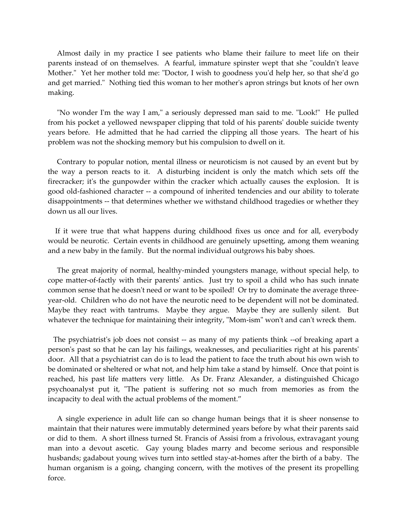Almost daily in my practice I see patients who blame their failure to meet life on their parents instead of on themselves. A fearful, immature spinster wept that she "couldn't leave Mother." Yet her mother told me: "Doctor, I wish to goodness you'd help her, so that she'd go and get married." Nothing tied this woman to her mother's apron strings but knots of her own making.

"No wonder I'm the way I am," a seriously depressed man said to me. "Look!" He pulled from his pocket a yellowed newspaper clipping that told of his parentsʹ double suicide twenty years before. He admitted that he had carried the clipping all those years. The heart of his problem was not the shocking memory but his compulsion to dwell on it.

 Contrary to popular notion, mental illness or neuroticism is not caused by an event but by the way a person reacts to it. A disturbing incident is only the match which sets off the firecracker; it's the gunpowder within the cracker which actually causes the explosion. It is good old‐fashioned character ‐‐ a compound of inherited tendencies and our ability to tolerate disappointments ‐‐ that determines whether we withstand childhood tragedies or whether they down us all our lives.

 If it were true that what happens during childhood fixes us once and for all, everybody would be neurotic. Certain events in childhood are genuinely upsetting, among them weaning and a new baby in the family. But the normal individual outgrows his baby shoes.

 The great majority of normal, healthy‐minded youngsters manage, without special help, to cope matter-of-factly with their parents' antics. Just try to spoil a child who has such innate common sense that he doesn't need or want to be spoiled! Or try to dominate the average threeyear-old. Children who do not have the neurotic need to be dependent will not be dominated. Maybe they react with tantrums. Maybe they argue. Maybe they are sullenly silent. But whatever the technique for maintaining their integrity, "Mom-ism" won't and can't wreck them.

The psychiatrist's job does not consist -- as many of my patients think --of breaking apart a person's past so that he can lay his failings, weaknesses, and peculiarities right at his parents' door. All that a psychiatrist can do is to lead the patient to face the truth about his own wish to be dominated or sheltered or what not, and help him take a stand by himself. Once that point is reached, his past life matters very little. As Dr. Franz Alexander, a distinguished Chicago psychoanalyst put it, "The patient is suffering not so much from memories as from the incapacity to deal with the actual problems of the moment."

 A single experience in adult life can so change human beings that it is sheer nonsense to maintain that their natures were immutably determined years before by what their parents said or did to them. A short illness turned St. Francis of Assisi from a frivolous, extravagant young man into a devout ascetic. Gay young blades marry and become serious and responsible husbands; gadabout young wives turn into settled stay-at-homes after the birth of a baby. The human organism is a going, changing concern, with the motives of the present its propelling force.